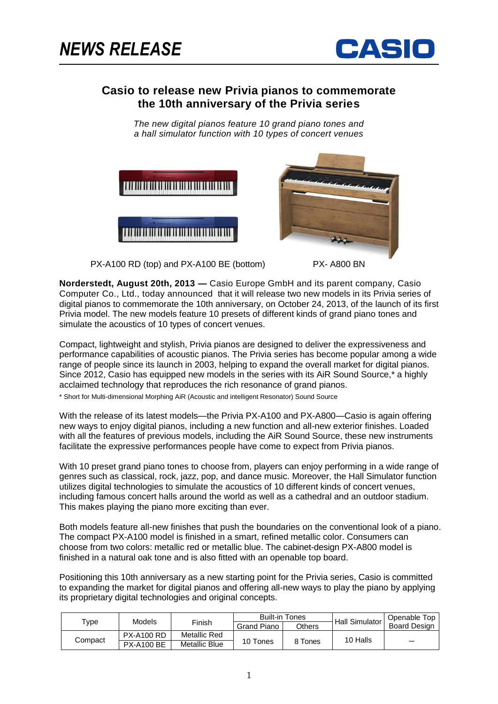

# **Casio to release new Privia pianos to commemorate the 10th anniversary of the Privia series**

*The new digital pianos feature 10 grand piano tones and a hall simulator function with 10 types of concert venues*



PX-A100 RD (top) and PX-A100 BE (bottom) PX-A800 BN



**Norderstedt, August 20th, 2013 —** Casio Europe GmbH and its parent company, Casio Computer Co., Ltd., today announced that it will release two new models in its Privia series of digital pianos to commemorate the 10th anniversary, on October 24, 2013, of the launch of its first Privia model. The new models feature 10 presets of different kinds of grand piano tones and simulate the acoustics of 10 types of concert venues.

Compact, lightweight and stylish, Privia pianos are designed to deliver the expressiveness and performance capabilities of acoustic pianos. The Privia series has become popular among a wide range of people since its launch in 2003, helping to expand the overall market for digital pianos. Since 2012, Casio has equipped new models in the series with its AiR Sound Source,\* a highly acclaimed technology that reproduces the rich resonance of grand pianos.

\* Short for Multi-dimensional Morphing AiR (Acoustic and intelligent Resonator) Sound Source

With the release of its latest models—the Privia PX-A100 and PX-A800—Casio is again offering new ways to enjoy digital pianos, including a new function and all-new exterior finishes. Loaded with all the features of previous models, including the AiR Sound Source, these new instruments facilitate the expressive performances people have come to expect from Privia pianos.

With 10 preset grand piano tones to choose from, players can enjoy performing in a wide range of genres such as classical, rock, jazz, pop, and dance music. Moreover, the Hall Simulator function utilizes digital technologies to simulate the acoustics of 10 different kinds of concert venues, including famous concert halls around the world as well as a cathedral and an outdoor stadium. This makes playing the piano more exciting than ever.

Both models feature all-new finishes that push the boundaries on the conventional look of a piano. The compact PX-A100 model is finished in a smart, refined metallic color. Consumers can choose from two colors: metallic red or metallic blue. The cabinet-design PX-A800 model is finished in a natural oak tone and is also fitted with an openable top board.

Positioning this 10th anniversary as a new starting point for the Privia series, Casio is committed to expanding the market for digital pianos and offering all-new ways to play the piano by applying its proprietary digital technologies and original concepts.

|         | Models            | Finish               | <b>Built-in Tones</b> |         | <b>Hall Simulator</b> | Openable Top        |
|---------|-------------------|----------------------|-----------------------|---------|-----------------------|---------------------|
| туре    |                   |                      | <b>Grand Piano</b>    | Others  |                       | <b>Board Design</b> |
| Compact | <b>PX-A100 RD</b> | Metallic Red         |                       | 8 Tones | 10 Halls              |                     |
|         | <b>PX-A100 BE</b> | <b>Metallic Blue</b> | 10 Tones              |         |                       |                     |
|         |                   |                      |                       |         |                       |                     |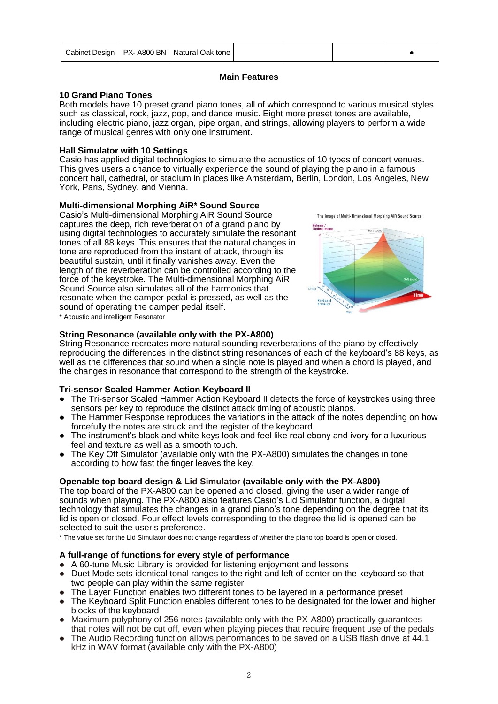|  |  | Cabinet Design   PX- A800 BN   Natural Oak tone |  |  |  |  |
|--|--|-------------------------------------------------|--|--|--|--|
|--|--|-------------------------------------------------|--|--|--|--|

# **Main Features**

### **10 Grand Piano Tones**

Both models have 10 preset grand piano tones, all of which correspond to various musical styles such as classical, rock, jazz, pop, and dance music. Eight more preset tones are available, including electric piano, jazz organ, pipe organ, and strings, allowing players to perform a wide range of musical genres with only one instrument.

### **Hall Simulator with 10 Settings**

Casio has applied digital technologies to simulate the acoustics of 10 types of concert venues. This gives users a chance to virtually experience the sound of playing the piano in a famous concert hall, cathedral, or stadium in places like Amsterdam, Berlin, London, Los Angeles, New York, Paris, Sydney, and Vienna.

#### **Multi-dimensional Morphing AiR\* Sound Source**

Casio's Multi-dimensional Morphing AiR Sound Source captures the deep, rich reverberation of a grand piano by using digital technologies to accurately simulate the resonant tones of all 88 keys. This ensures that the natural changes in tone are reproduced from the instant of attack, through its beautiful sustain, until it finally vanishes away. Even the length of the reverberation can be controlled according to the force of the keystroke. The Multi-dimensional Morphing AiR Sound Source also simulates all of the harmonics that resonate when the damper pedal is pressed, as well as the sound of operating the damper pedal itself.





\* Acoustic and intelligent Resonator

#### **String Resonance (available only with the PX-A800)**

String Resonance recreates more natural sounding reverberations of the piano by effectively reproducing the differences in the distinct string resonances of each of the keyboard's 88 keys, as well as the differences that sound when a single note is played and when a chord is played, and the changes in resonance that correspond to the strength of the keystroke.

# **Tri-sensor Scaled Hammer Action Keyboard II**

- The Tri-sensor Scaled Hammer Action Keyboard II detects the force of keystrokes using three sensors per key to reproduce the distinct attack timing of acoustic pianos.
- The Hammer Response reproduces the variations in the attack of the notes depending on how forcefully the notes are struck and the register of the keyboard.
- The instrument's black and white keys look and feel like real ebony and ivory for a luxurious feel and texture as well as a smooth touch.
- The Key Off Simulator (available only with the PX-A800) simulates the changes in tone according to how fast the finger leaves the key.

# **Openable top board design & Lid Simulator (available only with the PX-A800)**

The top board of the PX-A800 can be opened and closed, giving the user a wider range of sounds when playing. The PX-A800 also features Casio's Lid Simulator function, a digital technology that simulates the changes in a grand piano's tone depending on the degree that its lid is open or closed. Four effect levels corresponding to the degree the lid is opened can be selected to suit the user's preference.

\* The value set for the Lid Simulator does not change regardless of whether the piano top board is open or closed.

#### **A full-range of functions for every style of performance**

- A 60-tune Music Library is provided for listening enjoyment and lessons
- Duet Mode sets identical tonal ranges to the right and left of center on the keyboard so that two people can play within the same register
- The Layer Function enables two different tones to be layered in a performance preset
- The Keyboard Split Function enables different tones to be designated for the lower and higher blocks of the keyboard
- Maximum polyphony of 256 notes (available only with the PX-A800) practically guarantees that notes will not be cut off, even when playing pieces that require frequent use of the pedals
- The Audio Recording function allows performances to be saved on a USB flash drive at 44.1 kHz in WAV format (available only with the PX-A800)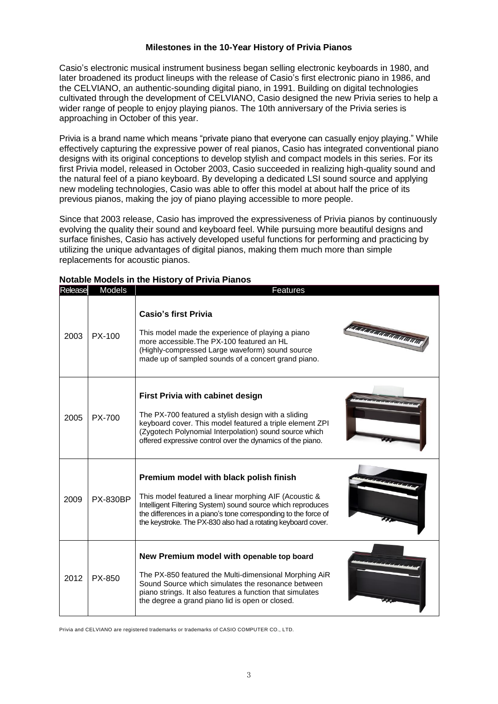### **Milestones in the 10-Year History of Privia Pianos**

Casio's electronic musical instrument business began selling electronic keyboards in 1980, and later broadened its product lineups with the release of Casio's first electronic piano in 1986, and the CELVIANO, an authentic-sounding digital piano, in 1991. Building on digital technologies cultivated through the development of CELVIANO, Casio designed the new Privia series to help a wider range of people to enjoy playing pianos. The 10th anniversary of the Privia series is approaching in October of this year.

Privia is a brand name which means "private piano that everyone can casually enjoy playing." While effectively capturing the expressive power of real pianos, Casio has integrated conventional piano designs with its original conceptions to develop stylish and compact models in this series. For its first Privia model, released in October 2003, Casio succeeded in realizing high-quality sound and the natural feel of a piano keyboard. By developing a dedicated LSI sound source and applying new modeling technologies, Casio was able to offer this model at about half the price of its previous pianos, making the joy of piano playing accessible to more people.

Since that 2003 release, Casio has improved the expressiveness of Privia pianos by continuously evolving the quality their sound and keyboard feel. While pursuing more beautiful designs and surface finishes, Casio has actively developed useful functions for performing and practicing by utilizing the unique advantages of digital pianos, making them much more than simple replacements for acoustic pianos.

| Release | <b>Models</b>   | Features                                                                                                                                                                                                                                                                                                               |  |
|---------|-----------------|------------------------------------------------------------------------------------------------------------------------------------------------------------------------------------------------------------------------------------------------------------------------------------------------------------------------|--|
| 2003    | $PX-100$        | <b>Casio's first Privia</b><br>nananananananan<br>This model made the experience of playing a piano<br>more accessible. The PX-100 featured an HL<br>(Highly-compressed Large waveform) sound source<br>made up of sampled sounds of a concert grand piano.                                                            |  |
| 2005    | PX-700          | <b>First Privia with cabinet design</b><br>The PX-700 featured a stylish design with a sliding<br>keyboard cover. This model featured a triple element ZPI<br>(Zygotech Polynomial Interpolation) sound source which<br>offered expressive control over the dynamics of the piano.                                     |  |
| 2009    | <b>PX-830BP</b> | Premium model with black polish finish<br>alamatan ing mga<br>This model featured a linear morphing AIF (Acoustic &<br>Intelligent Filtering System) sound source which reproduces<br>the differences in a piano's tone corresponding to the force of<br>the keystroke. The PX-830 also had a rotating keyboard cover. |  |
| 2012    | PX-850          | New Premium model with openable top board<br>The PX-850 featured the Multi-dimensional Morphing AiR<br>Sound Source which simulates the resonance between<br>piano strings. It also features a function that simulates<br>the degree a grand piano lid is open or closed.                                              |  |

#### **Notable Models in the History of Privia Pianos**

Privia and CELVIANO are registered trademarks or trademarks of CASIO COMPUTER CO., LTD.